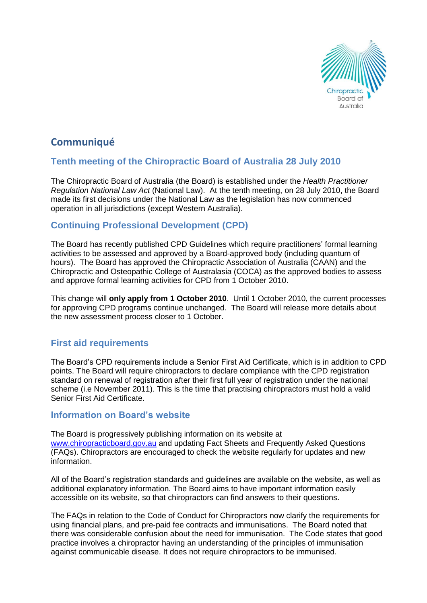

# **Communiqué**

## **Tenth meeting of the Chiropractic Board of Australia 28 July 2010**

The Chiropractic Board of Australia (the Board) is established under the *Health Practitioner Regulation National Law Act* (National Law). At the tenth meeting, on 28 July 2010, the Board made its first decisions under the National Law as the legislation has now commenced operation in all jurisdictions (except Western Australia).

## **Continuing Professional Development (CPD)**

The Board has recently published CPD Guidelines which require practitioners' formal learning activities to be assessed and approved by a Board-approved body (including quantum of hours). The Board has approved the Chiropractic Association of Australia (CAAN) and the Chiropractic and Osteopathic College of Australasia (COCA) as the approved bodies to assess and approve formal learning activities for CPD from 1 October 2010.

This change will **only apply from 1 October 2010**. Until 1 October 2010, the current processes for approving CPD programs continue unchanged. The Board will release more details about the new assessment process closer to 1 October.

### **First aid requirements**

The Board's CPD requirements include a Senior First Aid Certificate, which is in addition to CPD points. The Board will require chiropractors to declare compliance with the CPD registration standard on renewal of registration after their first full year of registration under the national scheme (i.e November 2011). This is the time that practising chiropractors must hold a valid Senior First Aid Certificate.

#### **Information on Board's website**

The Board is progressively publishing information on its website at [www.chiropracticboard.gov.au](http://www.chiropracticboard.gov.au/) and updating Fact Sheets and Frequently Asked Questions (FAQs). Chiropractors are encouraged to check the website regularly for updates and new information.

All of the Board's registration standards and guidelines are available on the website, as well as additional explanatory information. The Board aims to have important information easily accessible on its website, so that chiropractors can find answers to their questions.

The FAQs in relation to the Code of Conduct for Chiropractors now clarify the requirements for using financial plans, and pre-paid fee contracts and immunisations. The Board noted that there was considerable confusion about the need for immunisation. The Code states that good practice involves a chiropractor having an understanding of the principles of immunisation against communicable disease. It does not require chiropractors to be immunised.